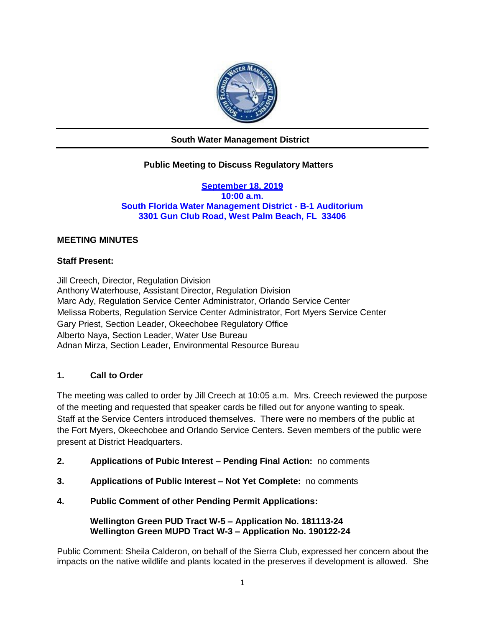

# **South Water Management District**

# **Public Meeting to Discuss Regulatory Matters**

**September 18, 2019 10:00 a.m. South Florida Water Management District - B-1 Auditorium 3301 Gun Club Road, West Palm Beach, FL 33406**

## **MEETING MINUTES**

## **Staff Present:**

Jill Creech, Director, Regulation Division Anthony Waterhouse, Assistant Director, Regulation Division Marc Ady, Regulation Service Center Administrator, Orlando Service Center Melissa Roberts, Regulation Service Center Administrator, Fort Myers Service Center Gary Priest, Section Leader, Okeechobee Regulatory Office Alberto Naya, Section Leader, Water Use Bureau Adnan Mirza, Section Leader, Environmental Resource Bureau

### **1. Call to Order**

The meeting was called to order by Jill Creech at 10:05 a.m. Mrs. Creech reviewed the purpose of the meeting and requested that speaker cards be filled out for anyone wanting to speak. Staff at the Service Centers introduced themselves. There were no members of the public at the Fort Myers, Okeechobee and Orlando Service Centers. Seven members of the public were present at District Headquarters.

- **2. Applications of Pubic Interest – Pending Final Action:** no comments
- **3. Applications of Public Interest – Not Yet Complete:** no comments
- **4. Public Comment of other Pending Permit Applications:**

**Wellington Green PUD Tract W-5 – Application No. 181113-24 Wellington Green MUPD Tract W-3 – Application No. 190122-24**

Public Comment: Sheila Calderon, on behalf of the Sierra Club, expressed her concern about the impacts on the native wildlife and plants located in the preserves if development is allowed. She